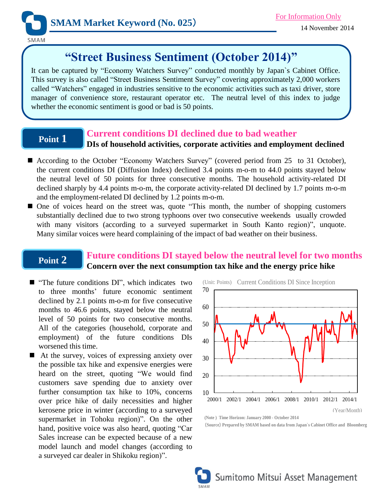

SMAM

# **"Street Business Sentiment (October 2014)"**

It can be captured by "Economy Watchers Survey" conducted monthly by Japan`s Cabinet Office. This survey is also called "Street Business Sentiment Survey" covering approximately 2,000 workers called "Watchers" engaged in industries sensitive to the economic activities such as taxi driver, store manager of convenience store, restaurant operator etc. The neutral level of this index to judge whether the economic sentiment is good or bad is 50 points.

## **Point 1**

## **Current conditions DI declined due to bad weather**

## **DIs of household activities, corporate activities and employment declined**

- According to the October "Economy Watchers Survey" (covered period from 25 to 31 October), the current conditions DI (Diffusion Index) declined 3.4 points m-o-m to 44.0 points stayed below the neutral level of 50 points for three consecutive months. The household activity-related DI declined sharply by 4.4 points m-o-m, the corporate activity-related DI declined by 1.7 points m-o-m and the employment-related DI declined by 1.2 points m-o-m.
- One of voices heard on the street was, quote "This month, the number of shopping customers substantially declined due to two strong typhoons over two consecutive weekends usually crowded with many visitors (according to a surveyed supermarket in South Kanto region)", unquote. Many similar voices were heard complaining of the impact of bad weather on their business.

## **Point 2**

## **Future conditions DI stayed below the neutral level for two months Concern over the next consumption tax hike and the energy price hike**

- $\blacksquare$  "The future conditions DI", which indicates two to three months' future economic sentiment declined by 2.1 points m-o-m for five consecutive months to 46.6 points, stayed below the neutral level of 50 points for two consecutive months. All of the categories (household, corporate and employment) of the future conditions DIs worsened this time.
- $\blacksquare$  At the survey, voices of expressing anxiety over the possible tax hike and expensive energies were heard on the street, quoting "We would find customers save spending due to anxiety over further consumption tax hike to 10%, concerns over price hike of daily necessities and higher kerosene price in winter (according to a surveyed supermarket in Tohoku region)". On the other hand, positive voice was also heard, quoting "Car Sales increase can be expected because of a new model launch and model changes (according to a surveyed car dealer in Shikoku region)".



**(Note ) Time Horizon: January 2000 - October 2014** (**Source**) **Prepared by SMAM based on data from Japan`s Cabinet Office and Bloomberg**